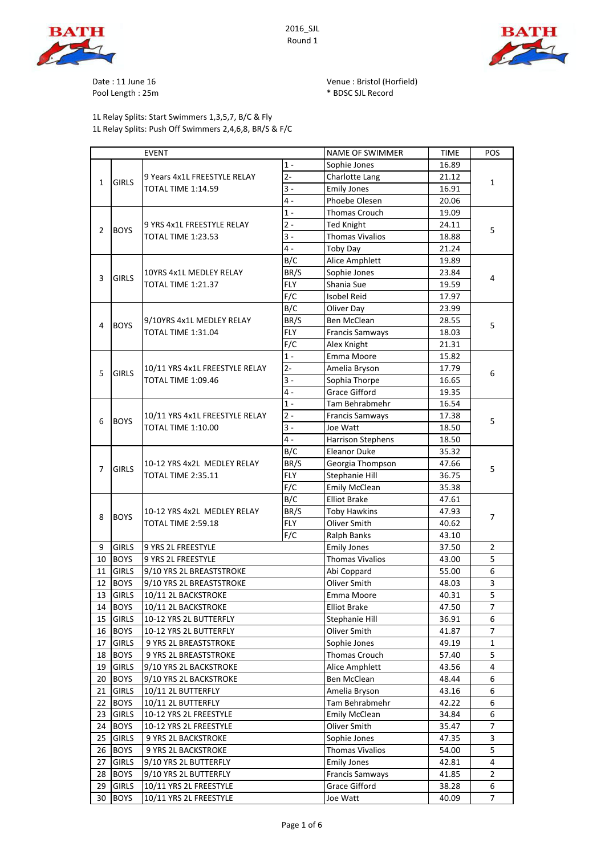





Date : 11 June 16 Venue : Bristol (Horfield) Pool Length: 25m

1L Relay Splits: Start Swimmers 1,3,5,7, B/C & Fly 1L Relay Splits: Push Off Swimmers 2,4,6,8, BR/S & F/C

| <b>EVENT</b>   |              |                                                             | <b>NAME OF SWIMMER</b> | <b>TIME</b>              | POS            |                |
|----------------|--------------|-------------------------------------------------------------|------------------------|--------------------------|----------------|----------------|
|                |              | 9 Years 4x1L FREESTYLE RELAY<br><b>TOTAL TIME 1:14.59</b>   | $1 -$                  | Sophie Jones             | 16.89          |                |
| $\mathbf{1}$   | <b>GIRLS</b> |                                                             | $2 -$                  | Charlotte Lang           | 21.12          | 1              |
|                |              |                                                             | $\overline{3}$ -       | <b>Emily Jones</b>       | 16.91          |                |
|                |              |                                                             | $4 -$                  | Phoebe Olesen            | 20.06          |                |
| $\overline{2}$ |              |                                                             | $1 -$                  | Thomas Crouch            | 19.09          |                |
|                | <b>BOYS</b>  | 9 YRS 4x1L FREESTYLE RELAY                                  | $2 -$                  | <b>Ted Knight</b>        | 24.11          | 5              |
|                |              | <b>TOTAL TIME 1:23.53</b>                                   | $3 -$                  | <b>Thomas Vivalios</b>   | 18.88          |                |
|                |              |                                                             | $4 -$                  | <b>Toby Day</b>          | 21.24          |                |
|                |              |                                                             | B/C                    | Alice Amphlett           | 19.89          |                |
|                |              | 10YRS 4x1L MEDLEY RELAY                                     | BR/S                   | Sophie Jones             | 23.84          |                |
| 3              | <b>GIRLS</b> | <b>TOTAL TIME 1:21.37</b>                                   | <b>FLY</b>             | Shania Sue               | 19.59          | 4              |
|                |              |                                                             | F/C                    | <b>Isobel Reid</b>       | 17.97          |                |
|                |              |                                                             | B/C                    | Oliver Day               | 23.99          |                |
|                |              | 9/10YRS 4x1L MEDLEY RELAY                                   | BR/S                   | Ben McClean              | 28.55          |                |
| 4              | <b>BOYS</b>  | <b>TOTAL TIME 1:31.04</b>                                   | <b>FLY</b>             | <b>Francis Samways</b>   | 18.03          | 5              |
|                |              |                                                             | F/C                    | Alex Knight              | 21.31          |                |
|                |              |                                                             | $1 -$                  | Emma Moore               | 15.82          |                |
|                |              | 10/11 YRS 4x1L FREESTYLE RELAY                              | $2-$                   | Amelia Bryson            | 17.79          |                |
| 5              | <b>GIRLS</b> | <b>TOTAL TIME 1:09.46</b>                                   | $3 -$                  | Sophia Thorpe            | 16.65          | 6              |
|                |              |                                                             | $\overline{4}$ -       | <b>Grace Gifford</b>     | 19.35          |                |
|                |              |                                                             | $1\,$ -                | Tam Behrabmehr           | 16.54          |                |
|                | <b>BOYS</b>  | 10/11 YRS 4x1L FREESTYLE RELAY<br><b>TOTAL TIME 1:10.00</b> | $2 -$                  | <b>Francis Samways</b>   | 17.38          |                |
| 6              |              |                                                             | $3 -$                  | Joe Watt                 | 18.50          | 5              |
|                |              |                                                             | $4 -$                  | <b>Harrison Stephens</b> | 18.50          |                |
|                |              |                                                             | B/C                    | <b>Eleanor Duke</b>      | 35.32          |                |
|                | <b>GIRLS</b> | 10-12 YRS 4x2L MEDLEY RELAY<br><b>TOTAL TIME 2:35.11</b>    | BR/S                   | Georgia Thompson         | 47.66          |                |
| 7              |              |                                                             | <b>FLY</b>             | Stephanie Hill           | 36.75          | 5              |
|                |              |                                                             | F/C                    | <b>Emily McClean</b>     | 35.38          |                |
|                |              | 10-12 YRS 4x2L MEDLEY RELAY<br><b>TOTAL TIME 2:59.18</b>    | B/C                    | <b>Elliot Brake</b>      | 47.61          | $\overline{7}$ |
|                | <b>BOYS</b>  |                                                             | BR/S                   | <b>Toby Hawkins</b>      | 47.93          |                |
| 8              |              |                                                             | <b>FLY</b>             | Oliver Smith             | 40.62          |                |
|                |              |                                                             | F/C                    | Ralph Banks              | 43.10          |                |
| 9              | <b>GIRLS</b> | 9 YRS 2L FREESTYLE                                          |                        | <b>Emily Jones</b>       | 37.50          | $\overline{2}$ |
| 10             | <b>BOYS</b>  | 9 YRS 2L FREESTYLE                                          |                        | <b>Thomas Vivalios</b>   | 43.00          | 5              |
| 11             | <b>GIRLS</b> | 9/10 YRS 2L BREASTSTROKE                                    |                        | Abi Coppard              | 55.00          | 6              |
| 12             | <b>BOYS</b>  | 9/10 YRS 2L BREASTSTROKE                                    |                        | Oliver Smith             | 48.03          | 3              |
| 13             | <b>GIRLS</b> | 10/11 2L BACKSTROKE                                         |                        | Emma Moore               | 40.31          | 5              |
|                | 14 BOYS      | 10/11 2L BACKSTROKE                                         |                        | <b>Elliot Brake</b>      | 47.50          | 7              |
| 15             | <b>GIRLS</b> | 10-12 YRS 2L BUTTERFLY                                      |                        | Stephanie Hill           | 36.91          | 6              |
| 16             | <b>BOYS</b>  | 10-12 YRS 2L BUTTERFLY                                      |                        | Oliver Smith             | 41.87          | 7              |
| 17             | <b>GIRLS</b> | 9 YRS 2L BREASTSTROKE                                       |                        | Sophie Jones             | 49.19          | 1              |
| 18             | <b>BOYS</b>  |                                                             |                        | Thomas Crouch            | 57.40          | 5              |
| 19             | <b>GIRLS</b> | 9 YRS 2L BREASTSTROKE                                       |                        | Alice Amphlett           |                | 4              |
| 20             | <b>BOYS</b>  | 9/10 YRS 2L BACKSTROKE                                      |                        | Ben McClean              | 43.56<br>48.44 | 6              |
|                | <b>GIRLS</b> | 9/10 YRS 2L BACKSTROKE                                      |                        | Amelia Bryson            | 43.16          | 6              |
| 21             | <b>BOYS</b>  | 10/11 2L BUTTERFLY                                          |                        | Tam Behrabmehr           |                | 6              |
| 22             |              | 10/11 2L BUTTERFLY                                          |                        |                          | 42.22          |                |
| 23             | <b>GIRLS</b> | 10-12 YRS 2L FREESTYLE                                      |                        | Emily McClean            | 34.84          | 6              |
| 24             | <b>BOYS</b>  | 10-12 YRS 2L FREESTYLE                                      |                        | Oliver Smith             | 35.47          | 7              |
| 25             | <b>GIRLS</b> | 9 YRS 2L BACKSTROKE                                         |                        | Sophie Jones             | 47.35          | 3              |
| 26             | <b>BOYS</b>  | 9 YRS 2L BACKSTROKE                                         |                        | <b>Thomas Vivalios</b>   | 54.00          | 5              |
| 27             | <b>GIRLS</b> | 9/10 YRS 2L BUTTERFLY                                       |                        | <b>Emily Jones</b>       | 42.81          | $\overline{4}$ |
| 28             | <b>BOYS</b>  | 9/10 YRS 2L BUTTERFLY                                       |                        | <b>Francis Samways</b>   | 41.85          | 2              |
| 29             | <b>GIRLS</b> | 10/11 YRS 2L FREESTYLE                                      |                        | <b>Grace Gifford</b>     | 38.28          | 6              |
|                | 30 BOYS      | 10/11 YRS 2L FREESTYLE                                      |                        | Joe Watt                 | 40.09          | 7              |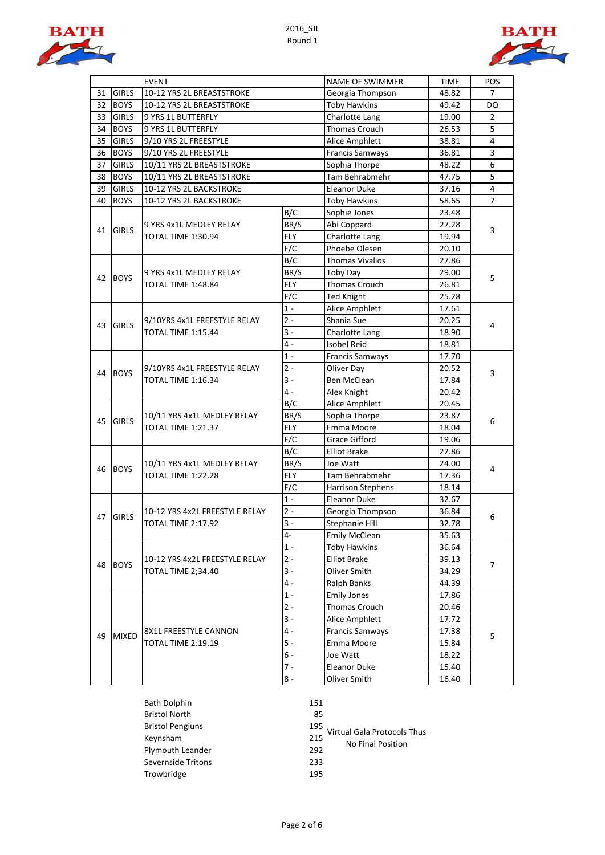



|    |              | <b>EVENT</b>                                                              |            | NAME OF SWIMMER          | <b>TIME</b>  | POS            |
|----|--------------|---------------------------------------------------------------------------|------------|--------------------------|--------------|----------------|
| 31 | <b>GIRLS</b> | 10-12 YRS 2L BREASTSTROKE                                                 |            | Georgia Thompson         | 48.82        | 7              |
| 32 | <b>BOYS</b>  | 10-12 YRS 2L BREASTSTROKE                                                 |            | <b>Toby Hawkins</b>      | 49.42        | DQ             |
| 33 | <b>GIRLS</b> | 9 YRS 1L BUTTERFLY                                                        |            | Charlotte Lang           | 19.00        | $\overline{2}$ |
| 34 | <b>BOYS</b>  | 9 YRS 1L BUTTERFLY                                                        |            | <b>Thomas Crouch</b>     | 26.53        | 5              |
| 35 | <b>GIRLS</b> | 9/10 YRS 2L FREESTYLE                                                     |            | Alice Amphlett           | 38.81        | 4              |
| 36 | <b>BOYS</b>  | 9/10 YRS 2L FREESTYLE                                                     |            | <b>Francis Samways</b>   | 36.81        | 3              |
| 37 | <b>GIRLS</b> | 10/11 YRS 2L BREASTSTROKE                                                 |            | Sophia Thorpe            | 48.22        | 6              |
| 38 | <b>BOYS</b>  | 10/11 YRS 2L BREASTSTROKE                                                 |            | Tam Behrabmehr           | 47.75        | 5              |
| 39 | <b>GIRLS</b> | 10-12 YRS 2L BACKSTROKE                                                   |            | <b>Eleanor Duke</b>      | 37.16        | $\overline{4}$ |
| 40 | <b>BOYS</b>  | 10-12 YRS 2L BACKSTROKE                                                   |            | <b>Toby Hawkins</b>      | 58.65        | $\overline{7}$ |
|    |              |                                                                           | B/C        | Sophie Jones             | 23.48        |                |
|    |              | 9 YRS 4x1L MEDLEY RELAY                                                   | BR/S       | Abi Coppard              | 27.28        |                |
| 41 | <b>GIRLS</b> | TOTAL TIME 1:30.94                                                        | <b>FLY</b> | Charlotte Lang           | 19.94        | 3              |
|    |              |                                                                           | F/C        | Phoebe Olesen            | 20.10        |                |
|    |              |                                                                           | B/C        | <b>Thomas Vivalios</b>   | 27.86        |                |
|    |              | 9 YRS 4x1L MEDLEY RELAY                                                   | BR/S       | Toby Day                 | 29.00        |                |
| 42 | <b>BOYS</b>  | <b>TOTAL TIME 1:48.84</b>                                                 | FLY        | <b>Thomas Crouch</b>     | 26.81        | 5              |
|    |              |                                                                           | F/C        | <b>Ted Knight</b>        | 25.28        |                |
|    |              |                                                                           | $1 -$      | Alice Amphlett           | 17.61        |                |
|    |              | 9/10YRS 4x1L FREESTYLE RELAY<br><b>GIRLS</b><br><b>TOTAL TIME 1:15.44</b> | $2 -$      | Shania Sue               | 20.25        |                |
| 43 |              |                                                                           | $3 -$      | Charlotte Lang           | 18.90        | 4              |
|    |              |                                                                           | $4 -$      | <b>Isobel Reid</b>       | 18.81        |                |
|    | <b>BOYS</b>  |                                                                           | $1 -$      | <b>Francis Samways</b>   | 17.70        |                |
|    |              | 9/10YRS 4x1L FREESTYLE RELAY                                              | $2 -$      | Oliver Day               | 20.52        |                |
| 44 |              | <b>TOTAL TIME 1:16.34</b>                                                 | $3 -$      | Ben McClean              | 17.84        | 3              |
|    |              |                                                                           | $4 -$      | Alex Knight              | 20.42        |                |
|    |              |                                                                           | B/C        | Alice Amphlett           | 20.45        |                |
|    | <b>GIRLS</b> | 10/11 YRS 4x1L MEDLEY RELAY<br><b>TOTAL TIME 1:21.37</b>                  | BR/S       | Sophia Thorpe            | 23.87        | 6              |
| 45 |              |                                                                           | <b>FLY</b> | Emma Moore               | 18.04        |                |
|    |              |                                                                           | F/C        | Grace Gifford            | 19.06        |                |
|    |              |                                                                           | B/C        | <b>Elliot Brake</b>      | 22.86        |                |
|    |              | 10/11 YRS 4x1L MEDLEY RELAY<br><b>BOYS</b><br>TOTAL TIME 1:22.28          | BR/S       | Joe Watt                 | 24.00        |                |
| 46 |              |                                                                           | <b>FLY</b> | Tam Behrabmehr           | 17.36        | 4              |
|    |              |                                                                           | F/C        | <b>Harrison Stephens</b> | 18.14        |                |
|    |              |                                                                           | $1 -$      | <b>Eleanor Duke</b>      | 32.67        |                |
|    | <b>GIRLS</b> | 10-12 YRS 4x2L FREESTYLE RELAY                                            | $2 -$      | Georgia Thompson         | 36.84        |                |
| 47 |              | TOTAL TIME 2:17.92                                                        | $3 -$      | Stephanie Hill           | 32.78        | 6              |
|    |              |                                                                           | $4-$       | <b>Emily McClean</b>     | 35.63        |                |
|    |              |                                                                           | $1 -$      | Toby Hawkins             | 36.64        |                |
|    |              | 10-12 YRS 4x2L FREESTYLE RELAY                                            | $2 -$      | <b>Elliot Brake</b>      | 39.13        | 7              |
| 48 | <b>BOYS</b>  | <b>TOTAL TIME 2;34.40</b>                                                 | $3 -$      | Oliver Smith             | 34.29        |                |
|    |              |                                                                           | 4 -        | Ralph Banks              | 44.39        |                |
|    |              |                                                                           | $1 -$      | <b>Emily Jones</b>       | 17.86        |                |
|    |              |                                                                           | $2 -$      | Thomas Crouch            | 20.46        |                |
|    |              |                                                                           | 3 -        | Alice Amphlett           | 17.72        |                |
|    |              | 8X1L FREESTYLE CANNON                                                     | 4 -        | Francis Samways          | 17.38        |                |
| 49 | <b>MIXED</b> | TOTAL TIME 2:19.19                                                        | $5 -$      | Emma Moore               | 15.84        | 5              |
|    |              |                                                                           | 6 -        | Joe Watt                 | 18.22        |                |
|    |              |                                                                           | 7 -        | Eleanor Duke             | 15.40        |                |
|    |              |                                                                           | $8 -$      |                          | Oliver Smith | 16.40          |

| Bath Dolphin            | 151 |
|-------------------------|-----|
| <b>Bristol North</b>    | 85  |
| <b>Bristol Pengiuns</b> | 195 |
| Keynsham                | 215 |
| Plymouth Leander        | 292 |
| Severnside Tritons      | 233 |
| Trowbridge              | 195 |

| ۰. |              | ۰ |
|----|--------------|---|
|    | ٠<br>۰.<br>× |   |

Virtual Gala Protocols Thus

No Final Position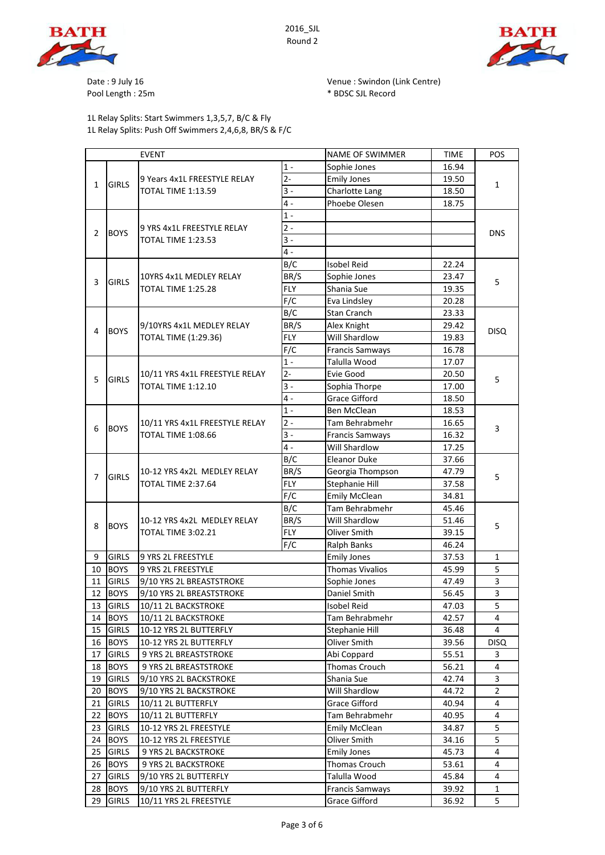

2016\_SJL Round 2



Pool Length : 25m  $*$  BDSC SJL Record

1L Relay Splits: Start Swimmers 1,3,5,7, B/C & Fly 1L Relay Splits: Push Off Swimmers 2,4,6,8, BR/S & F/C

Date : 9 July 16 **Date : 9 July 16** Venue : Swindon (Link Centre)

|                               |                             | <b>EVENT</b>                                                |            | NAME OF SWIMMER              | <b>TIME</b> | POS            |
|-------------------------------|-----------------------------|-------------------------------------------------------------|------------|------------------------------|-------------|----------------|
|                               | <b>GIRLS</b>                | 9 Years 4x1L FREESTYLE RELAY<br><b>TOTAL TIME 1:13.59</b>   | $1 -$      | Sophie Jones                 | 16.94       |                |
| $\mathbf{1}$                  |                             |                                                             | $2 -$      | <b>Emily Jones</b>           | 19.50       | 1              |
|                               |                             |                                                             | $3 -$      | Charlotte Lang               | 18.50       |                |
|                               |                             |                                                             | $4 -$      | Phoebe Olesen                | 18.75       |                |
| $\overline{2}$<br><b>BOYS</b> |                             |                                                             | $1 -$      |                              |             |                |
|                               |                             | 9 YRS 4x1L FREESTYLE RELAY                                  | $2 -$      |                              |             | <b>DNS</b>     |
|                               |                             | <b>TOTAL TIME 1:23.53</b>                                   | $3 -$      |                              |             |                |
|                               |                             |                                                             | $4 -$      |                              |             |                |
|                               |                             |                                                             | B/C        | <b>Isobel Reid</b>           | 22.24       |                |
|                               |                             | 10YRS 4x1L MEDLEY RELAY                                     | BR/S       | Sophie Jones                 | 23.47       |                |
| 3                             | <b>GIRLS</b>                | TOTAL TIME 1:25.28                                          | <b>FLY</b> | Shania Sue                   | 19.35       | 5              |
|                               |                             |                                                             | F/C        | Eva Lindsley                 | 20.28       |                |
|                               |                             |                                                             | B/C        | <b>Stan Cranch</b>           | 23.33       |                |
|                               |                             | 9/10YRS 4x1L MEDLEY RELAY                                   | BR/S       | Alex Knight                  | 29.42       |                |
| 4                             | <b>BOYS</b>                 | <b>TOTAL TIME (1:29.36)</b>                                 | <b>FLY</b> | <b>Will Shardlow</b>         | 19.83       | <b>DISQ</b>    |
|                               |                             |                                                             | F/C        | <b>Francis Samways</b>       | 16.78       |                |
|                               |                             |                                                             | $1 -$      | Talulla Wood                 | 17.07       |                |
|                               |                             | 10/11 YRS 4x1L FREESTYLE RELAY                              | $2 -$      | Evie Good                    | 20.50       |                |
| 5                             | <b>GIRLS</b>                | <b>TOTAL TIME 1:12.10</b>                                   | $3 -$      | Sophia Thorpe                | 17.00       | 5              |
|                               |                             |                                                             | $4 -$      | <b>Grace Gifford</b>         | 18.50       |                |
|                               |                             |                                                             | $1 -$      | <b>Ben McClean</b>           | 18.53       |                |
|                               | <b>BOYS</b>                 | 10/11 YRS 4x1L FREESTYLE RELAY<br><b>TOTAL TIME 1:08.66</b> | $2 -$      | Tam Behrabmehr               | 16.65       |                |
| 6                             |                             |                                                             | $3 -$      | <b>Francis Samways</b>       | 16.32       | 3              |
|                               |                             |                                                             | $4 -$      | Will Shardlow                | 17.25       |                |
|                               |                             |                                                             | B/C        | <b>Eleanor Duke</b>          | 37.66       |                |
|                               | <b>GIRLS</b>                | 10-12 YRS 4x2L MEDLEY RELAY<br>TOTAL TIME 2:37.64           | BR/S       | Georgia Thompson             | 47.79       | 5              |
| 7                             |                             |                                                             | <b>FLY</b> | Stephanie Hill               | 37.58       |                |
|                               |                             |                                                             | F/C        | <b>Emily McClean</b>         | 34.81       |                |
|                               |                             |                                                             | B/C        | Tam Behrabmehr               | 45.46       |                |
|                               | <b>BOYS</b>                 | 10-12 YRS 4x2L MEDLEY RELAY<br>TOTAL TIME 3:02.21           | BR/S       | Will Shardlow                | 51.46       |                |
| 8                             |                             |                                                             | <b>FLY</b> | Oliver Smith                 | 39.15       | 5              |
|                               |                             |                                                             | F/C        |                              | 46.24       |                |
|                               |                             | 9 YRS 2L FREESTYLE                                          |            | Ralph Banks                  | 37.53       |                |
| 9                             | <b>GIRLS</b>                |                                                             |            | <b>Emily Jones</b>           |             | 1              |
| 10                            | <b>BOYS</b><br><b>GIRLS</b> | 9 YRS 2L FREESTYLE                                          |            | <b>Thomas Vivalios</b>       | 45.99       | 5              |
| 11                            |                             | 9/10 YRS 2L BREASTSTROKE                                    |            | Sophie Jones<br>Daniel Smith | 47.49       | 3              |
| 12                            | <b>BOYS</b>                 | 9/10 YRS 2L BREASTSTROKE                                    |            |                              | 56.45       | 3<br>5         |
| 13                            | <b>GIRLS</b>                | 10/11 2L BACKSTROKE                                         |            | <b>Isobel Reid</b>           | 47.03       |                |
| 14                            | <b>BOYS</b>                 | 10/11 2L BACKSTROKE                                         |            | Tam Behrabmehr               | 42.57       | 4              |
| 15                            | <b>GIRLS</b>                | 10-12 YRS 2L BUTTERFLY                                      |            | Stephanie Hill               | 36.48       | 4              |
| 16                            | <b>BOYS</b>                 | 10-12 YRS 2L BUTTERFLY                                      |            | Oliver Smith                 | 39.56       | <b>DISQ</b>    |
| 17                            | <b>GIRLS</b>                | 9 YRS 2L BREASTSTROKE                                       |            | Abi Coppard                  | 55.51       | 3              |
| 18                            | <b>BOYS</b>                 | 9 YRS 2L BREASTSTROKE                                       |            | Thomas Crouch                | 56.21       | 4              |
| 19                            | <b>GIRLS</b>                | 9/10 YRS 2L BACKSTROKE                                      |            | Shania Sue                   | 42.74       | 3              |
| 20                            | <b>BOYS</b>                 | 9/10 YRS 2L BACKSTROKE                                      |            | Will Shardlow                | 44.72       | $\overline{2}$ |
| 21                            | <b>GIRLS</b>                | 10/11 2L BUTTERFLY                                          |            | <b>Grace Gifford</b>         | 40.94       | 4              |
| 22                            | <b>BOYS</b>                 | 10/11 2L BUTTERFLY                                          |            | Tam Behrabmehr               | 40.95       | 4              |
| 23                            | <b>GIRLS</b>                | 10-12 YRS 2L FREESTYLE                                      |            | <b>Emily McClean</b>         | 34.87       | 5              |
| 24                            | <b>BOYS</b>                 | 10-12 YRS 2L FREESTYLE                                      |            | Oliver Smith                 | 34.16       | 5              |
| 25                            | <b>GIRLS</b>                | 9 YRS 2L BACKSTROKE                                         |            | <b>Emily Jones</b>           | 45.73       | 4              |
| 26                            | <b>BOYS</b>                 | 9 YRS 2L BACKSTROKE                                         |            | Thomas Crouch                | 53.61       | 4              |
| 27                            | <b>GIRLS</b>                | 9/10 YRS 2L BUTTERFLY                                       |            | Talulla Wood                 | 45.84       | 4              |
| 28                            | <b>BOYS</b>                 | 9/10 YRS 2L BUTTERFLY                                       |            | <b>Francis Samways</b>       | 39.92       | 1              |

29 GIRLS 10/11 YRS 2L FREESTYLE Grace Gifford 36.92 5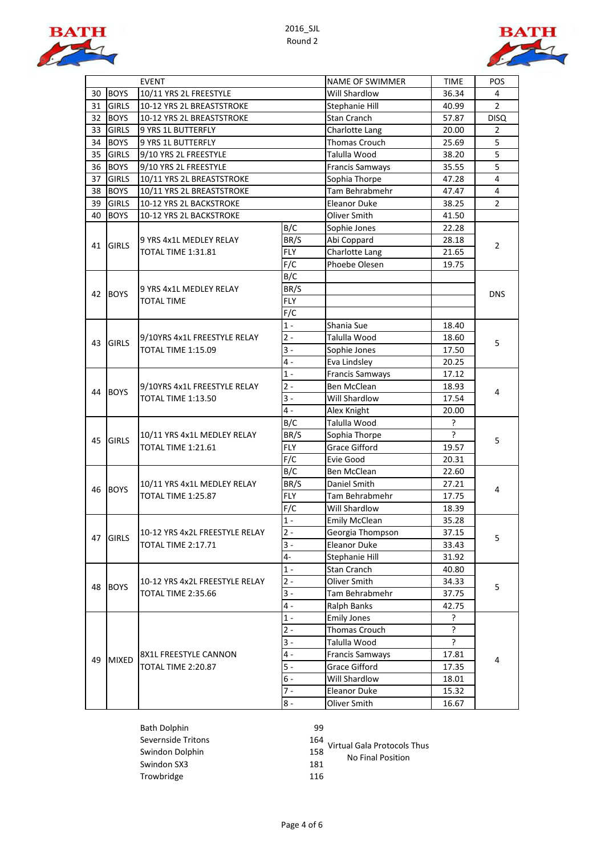



|    |              | <b>EVENT</b>                                              |            | NAME OF SWIMMER        | <b>TIME</b> | <b>POS</b>     |
|----|--------------|-----------------------------------------------------------|------------|------------------------|-------------|----------------|
| 30 | <b>BOYS</b>  | 10/11 YRS 2L FREESTYLE                                    |            | Will Shardlow          | 36.34       | 4              |
| 31 | <b>GIRLS</b> | 10-12 YRS 2L BREASTSTROKE                                 |            | Stephanie Hill         | 40.99       | $\overline{2}$ |
| 32 | <b>BOYS</b>  | 10-12 YRS 2L BREASTSTROKE                                 |            | Stan Cranch            | 57.87       | <b>DISQ</b>    |
| 33 | <b>GIRLS</b> | 9 YRS 1L BUTTERFLY                                        |            | Charlotte Lang         | 20.00       | $\overline{2}$ |
| 34 | <b>BOYS</b>  | 9 YRS 1L BUTTERFLY                                        |            | Thomas Crouch          | 25.69       | 5              |
| 35 | <b>GIRLS</b> | 9/10 YRS 2L FREESTYLE                                     |            | Talulla Wood           | 38.20       | $\overline{5}$ |
| 36 | <b>BOYS</b>  | 9/10 YRS 2L FREESTYLE                                     |            | <b>Francis Samways</b> | 35.55       | $\overline{5}$ |
| 37 | <b>GIRLS</b> | 10/11 YRS 2L BREASTSTROKE                                 |            | Sophia Thorpe          | 47.28       | $\overline{4}$ |
| 38 | <b>BOYS</b>  | 10/11 YRS 2L BREASTSTROKE                                 |            | Tam Behrabmehr         | 47.47       | $\overline{4}$ |
| 39 | <b>GIRLS</b> | 10-12 YRS 2L BACKSTROKE                                   |            | <b>Eleanor Duke</b>    | 38.25       | $\overline{2}$ |
| 40 | <b>BOYS</b>  | 10-12 YRS 2L BACKSTROKE                                   |            | Oliver Smith           | 41.50       |                |
|    |              |                                                           | B/C        | Sophie Jones           | 22.28       |                |
| 41 | <b>GIRLS</b> | 9 YRS 4x1L MEDLEY RELAY                                   | BR/S       | Abi Coppard            | 28.18       | $\overline{2}$ |
|    |              | TOTAL TIME 1:31.81                                        | <b>FLY</b> | Charlotte Lang         | 21.65       |                |
|    |              |                                                           | F/C        | Phoebe Olesen          | 19.75       |                |
|    |              |                                                           | B/C        |                        |             |                |
| 42 | <b>BOYS</b>  | 9 YRS 4x1L MEDLEY RELAY                                   | BR/S       |                        |             | <b>DNS</b>     |
|    |              | <b>TOTAL TIME</b>                                         | <b>FLY</b> |                        |             |                |
|    |              |                                                           | F/C        |                        |             |                |
|    |              | 9/10YRS 4x1L FREESTYLE RELAY<br><b>TOTAL TIME 1:15.09</b> | $1 -$      | Shania Sue             | 18.40       |                |
| 43 | <b>GIRLS</b> |                                                           | $2 -$      | Talulla Wood           | 18.60       | 5              |
|    |              |                                                           | $3 -$      | Sophie Jones           | 17.50       |                |
|    |              |                                                           | $4 -$      | Eva Lindsley           | 20.25       |                |
|    | <b>BOYS</b>  | 9/10YRS 4x1L FREESTYLE RELAY<br><b>TOTAL TIME 1:13.50</b> | $1 -$      | <b>Francis Samways</b> | 17.12       | 4              |
|    |              |                                                           | $2 -$      | Ben McClean            | 18.93       |                |
| 44 |              |                                                           | $3 -$      | Will Shardlow          | 17.54       |                |
|    |              |                                                           | $4 -$      | Alex Knight            | 20.00       |                |
|    | <b>GIRLS</b> | 10/11 YRS 4x1L MEDLEY RELAY<br><b>TOTAL TIME 1:21.61</b>  | B/C        | Talulla Wood           | ?           | 5              |
| 45 |              |                                                           | BR/S       | Sophia Thorpe          | 5           |                |
|    |              |                                                           | <b>FLY</b> | <b>Grace Gifford</b>   | 19.57       |                |
|    |              |                                                           | F/C        | Evie Good              | 20.31       |                |
|    |              |                                                           | B/C        | Ben McClean            | 22.60       | 4              |
| 46 | <b>BOYS</b>  | 10/11 YRS 4x1L MEDLEY RELAY<br>TOTAL TIME 1:25.87         | BR/S       | Daniel Smith           | 27.21       |                |
|    |              |                                                           | <b>FLY</b> | Tam Behrabmehr         | 17.75       |                |
|    |              |                                                           | F/C        | Will Shardlow          | 18.39       |                |
|    |              |                                                           | $1 -$      | Emily McClean          | 35.28       |                |
|    | 47 GIRLS     | 10-12 YRS 4x2L FREESTYLE RELAY                            | $2 -$      | Georgia Thompson       | 37.15       | 5              |
|    |              | <b>TOTAL TIME 2:17.71</b>                                 | $3 -$      | Eleanor Duke           | 33.43       |                |
|    |              |                                                           | 4-         | Stephanie Hill         | 31.92       |                |
|    |              |                                                           | $1 -$      | Stan Cranch            | 40.80       |                |
| 48 | <b>BOYS</b>  | 10-12 YRS 4x2L FREESTYLE RELAY                            | $2 -$      | Oliver Smith           | 34.33       | 5              |
|    |              | <b>TOTAL TIME 2:35.66</b>                                 | $3 -$      | Tam Behrabmehr         | 37.75       |                |
|    |              |                                                           | $4 -$      | Ralph Banks            | 42.75       |                |
|    |              |                                                           | $1 -$      | <b>Emily Jones</b>     | ŗ           |                |
|    |              |                                                           | $2 -$      | Thomas Crouch          | ?           | 4              |
|    |              |                                                           | $3 -$      | Talulla Wood           | 5           |                |
| 49 | <b>MIXED</b> | 8X1L FREESTYLE CANNON                                     | $4 -$      | <b>Francis Samways</b> | 17.81       |                |
|    |              | TOTAL TIME 2:20.87                                        | $5 -$      | <b>Grace Gifford</b>   | 17.35       |                |
|    |              |                                                           | $6 -$      | Will Shardlow          | 18.01       |                |
|    |              |                                                           | $7 -$      | <b>Eleanor Duke</b>    | 15.32       |                |
|    |              |                                                           | $8 -$      | Oliver Smith           | 16.67       |                |

Bath Dolphin 99 Severnside Tritons Swindon Dolphin Swindon SX3 181 Trowbridge 116

164<br>158 Virtual Gala Protocols Thus<br>158 Mo Final Position

No Final Position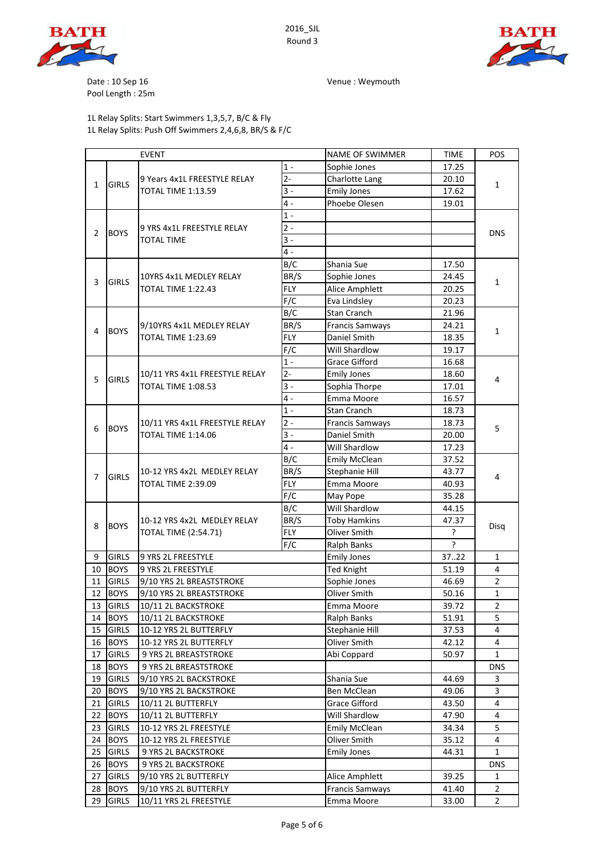





Date : 10 Sep 16 Venue : Weymouth

Pool Length : 25m

## 1L Relay Splits: Start Swimmers 1,3,5,7, B/C & Fly 1L Relay Splits: Push Off Swimmers 2,4,6,8, BR/S & F/C

|    |              | <b>EVENT</b>                                               |            | <b>NAME OF SWIMMER</b>              | TIME        | POS                           |
|----|--------------|------------------------------------------------------------|------------|-------------------------------------|-------------|-------------------------------|
|    |              |                                                            | $1 -$      | Sophie Jones                        | 17.25       |                               |
| 1  | <b>GIRLS</b> | 9 Years 4x1L FREESTYLE RELAY                               | $2 -$      | Charlotte Lang                      | 20.10       | 1                             |
|    |              | TOTAL TIME 1:13.59                                         | $3 -$      | <b>Emily Jones</b>                  | 17.62       |                               |
|    |              |                                                            | $4 -$      | Phoebe Olesen                       | 19.01       |                               |
|    |              |                                                            | $1 -$      |                                     |             |                               |
|    | <b>BOYS</b>  | 9 YRS 4x1L FREESTYLE RELAY                                 | $2 -$      |                                     |             |                               |
| 2  |              | <b>TOTAL TIME</b>                                          | $3 -$      |                                     |             | <b>DNS</b>                    |
|    |              |                                                            | $4 -$      |                                     |             |                               |
|    |              |                                                            | B/C        | Shania Sue                          | 17.50       |                               |
|    |              | 10YRS 4x1L MEDLEY RELAY                                    | BR/S       | Sophie Jones                        | 24.45       |                               |
| 3  | <b>GIRLS</b> | TOTAL TIME 1:22.43                                         | <b>FLY</b> | Alice Amphlett                      | 20.25       | 1                             |
|    |              |                                                            | F/C        | Eva Lindsley                        | 20.23       |                               |
|    |              |                                                            | B/C        | <b>Stan Cranch</b>                  | 21.96       |                               |
|    |              | 9/10YRS 4x1L MEDLEY RELAY                                  | BR/S       | <b>Francis Samways</b>              | 24.21       |                               |
| 4  | <b>BOYS</b>  | TOTAL TIME 1:23.69                                         | <b>FLY</b> | Daniel Smith                        | 18.35       | 1                             |
|    |              |                                                            | F/C        | Will Shardlow                       | 19.17       |                               |
|    |              |                                                            | $1 -$      | <b>Grace Gifford</b>                | 16.68       |                               |
|    |              | 10/11 YRS 4x1L FREESTYLE RELAY                             | $2 -$      | <b>Emily Jones</b>                  | 18.60       |                               |
| 5  | <b>GIRLS</b> | TOTAL TIME 1:08.53                                         | $3 -$      | Sophia Thorpe                       | 17.01       | 4                             |
|    |              |                                                            | $4 -$      | Emma Moore                          | 16.57       |                               |
|    |              |                                                            | $1 -$      | Stan Cranch                         | 18.73       |                               |
|    | <b>BOYS</b>  | 10/11 YRS 4x1L FREESTYLE RELAY<br>TOTAL TIME 1:14.06       | $2 -$      | <b>Francis Samways</b>              | 18.73       |                               |
| 6  |              |                                                            | $3 -$      | Daniel Smith                        | 20.00       | 5                             |
|    |              |                                                            | $4 -$      | Will Shardlow                       | 17.23       |                               |
|    |              |                                                            | B/C        |                                     |             |                               |
| 7  | <b>GIRLS</b> | 10-12 YRS 4x2L MEDLEY RELAY<br><b>TOTAL TIME 2:39.09</b>   | BR/S       | <b>Emily McClean</b>                | 37.52       |                               |
|    |              |                                                            | <b>FLY</b> | Stephanie Hill                      | 43.77       | 4                             |
|    |              |                                                            | F/C        | Emma Moore                          | 40.93       |                               |
|    |              |                                                            | B/C        | May Pope<br>Will Shardlow           | 35.28       |                               |
|    | <b>BOYS</b>  | 10-12 YRS 4x2L MEDLEY RELAY<br><b>TOTAL TIME (2:54.71)</b> | BR/S       |                                     | 44.15       |                               |
| 8  |              |                                                            | <b>FLY</b> | <b>Toby Hamkins</b><br>Oliver Smith | 47.37<br>5. | Disg                          |
|    |              |                                                            | F/C        |                                     | ς           |                               |
|    | <b>GIRLS</b> | 9 YRS 2L FREESTYLE                                         |            | Ralph Banks                         | 3722        |                               |
| 9  |              | 9 YRS 2L FREESTYLE                                         |            | <b>Emily Jones</b>                  |             | $\mathbf{1}$                  |
| 10 | <b>BOYS</b>  |                                                            |            | <b>Ted Knight</b>                   | 51.19       | 4                             |
| 11 | <b>GIRLS</b> | 9/10 YRS 2L BREASTSTROKE                                   |            | Sophie Jones                        | 46.69       | $\overline{2}$                |
| 12 | <b>BOYS</b>  | 9/10 YRS 2L BREASTSTROKE                                   |            | Oliver Smith                        | 50.16       | $\mathbf{1}$<br>$\mathcal{P}$ |
| 13 | <b>GIRLS</b> | 10/11 2L BACKSTROKE                                        |            | Emma Moore                          | 39.72       |                               |
| 14 | <b>BOYS</b>  | 10/11 2L BACKSTROKE                                        |            | Ralph Banks                         | 51.91       | 5                             |
| 15 | <b>GIRLS</b> | 10-12 YRS 2L BUTTERFLY                                     |            | Stephanie Hill                      | 37.53       | 4                             |
| 16 | <b>BOYS</b>  | 10-12 YRS 2L BUTTERFLY                                     |            | Oliver Smith                        | 42.12       | 4                             |
| 17 | <b>GIRLS</b> | 9 YRS 2L BREASTSTROKE                                      |            | Abi Coppard                         | 50.97       | 1                             |
| 18 | <b>BOYS</b>  | 9 YRS 2L BREASTSTROKE                                      |            |                                     |             | <b>DNS</b>                    |
| 19 | <b>GIRLS</b> | 9/10 YRS 2L BACKSTROKE                                     |            | Shania Sue                          | 44.69       | 3                             |
| 20 | <b>BOYS</b>  | 9/10 YRS 2L BACKSTROKE                                     |            | Ben McClean                         | 49.06       | 3                             |
| 21 | <b>GIRLS</b> | 10/11 2L BUTTERFLY                                         |            | <b>Grace Gifford</b>                | 43.50       | 4                             |
| 22 | <b>BOYS</b>  | 10/11 2L BUTTERFLY                                         |            | Will Shardlow                       | 47.90       | 4                             |
| 23 | <b>GIRLS</b> | 10-12 YRS 2L FREESTYLE                                     |            | <b>Emily McClean</b>                | 34.34       | 5                             |
| 24 | <b>BOYS</b>  | 10-12 YRS 2L FREESTYLE                                     |            | Oliver Smith                        | 35.12       | 4                             |
| 25 | <b>GIRLS</b> | 9 YRS 2L BACKSTROKE                                        |            | <b>Emily Jones</b>                  | 44.31       | 1                             |
| 26 | <b>BOYS</b>  | 9 YRS 2L BACKSTROKE                                        |            |                                     |             | <b>DNS</b>                    |
| 27 | <b>GIRLS</b> | 9/10 YRS 2L BUTTERFLY                                      |            | Alice Amphlett                      | 39.25       | 1                             |
| 28 | <b>BOYS</b>  | 9/10 YRS 2L BUTTERFLY                                      |            | <b>Francis Samways</b>              | 41.40       | $\overline{2}$                |
| 29 | <b>GIRLS</b> | 10/11 YRS 2L FREESTYLE                                     |            | Emma Moore                          | 33.00       | $\mathbf{2}$                  |